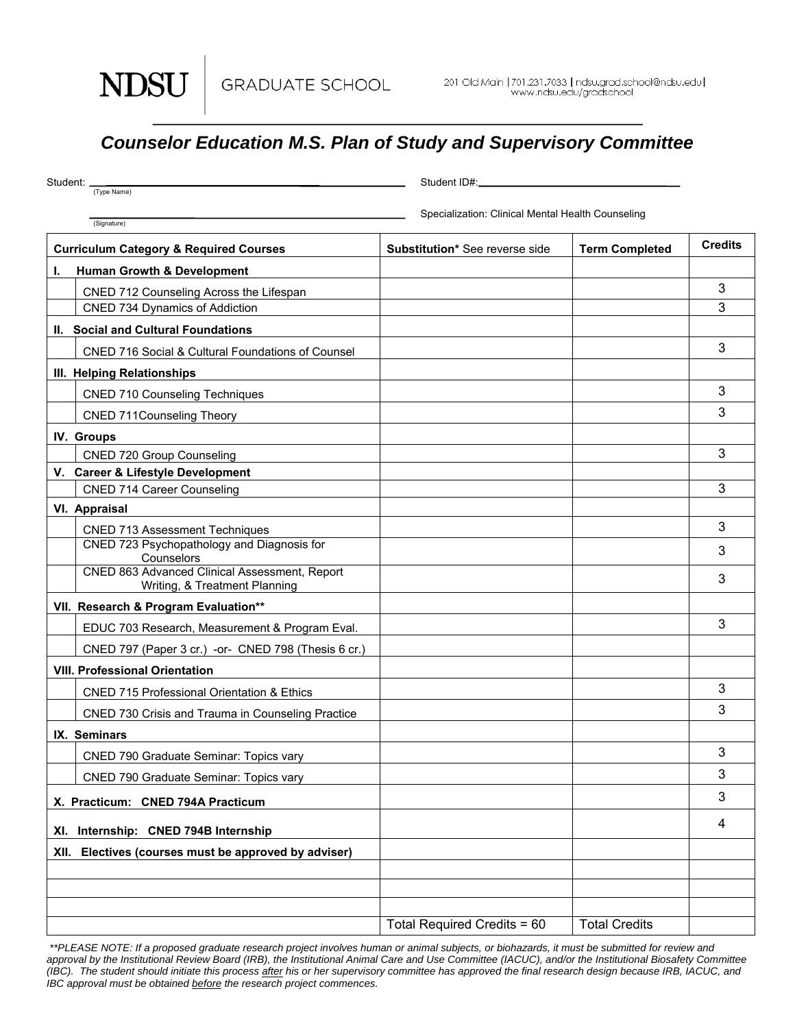NDSU

## *Counselor Education M.S. Plan of Study and Supervisory Committee*

| Student: _                                        |                                                                                | Student ID#:_                                     |                       |                |
|---------------------------------------------------|--------------------------------------------------------------------------------|---------------------------------------------------|-----------------------|----------------|
|                                                   | (Type Name)                                                                    | Specialization: Clinical Mental Health Counseling |                       |                |
|                                                   | (Signature)                                                                    |                                                   |                       |                |
| <b>Curriculum Category &amp; Required Courses</b> |                                                                                | Substitution* See reverse side                    | <b>Term Completed</b> | <b>Credits</b> |
| L.                                                | <b>Human Growth &amp; Development</b>                                          |                                                   |                       |                |
|                                                   | CNED 712 Counseling Across the Lifespan                                        |                                                   |                       | 3              |
|                                                   | <b>CNED 734 Dynamics of Addiction</b>                                          |                                                   |                       | 3              |
|                                                   | II. Social and Cultural Foundations                                            |                                                   |                       |                |
|                                                   | CNED 716 Social & Cultural Foundations of Counsel                              |                                                   |                       | 3              |
|                                                   | III. Helping Relationships                                                     |                                                   |                       |                |
|                                                   | <b>CNED 710 Counseling Techniques</b>                                          |                                                   |                       | 3              |
|                                                   | <b>CNED 711Counseling Theory</b>                                               |                                                   |                       | 3              |
|                                                   | IV. Groups                                                                     |                                                   |                       |                |
|                                                   | <b>CNED 720 Group Counseling</b>                                               |                                                   |                       | 3              |
|                                                   | V. Career & Lifestyle Development                                              |                                                   |                       |                |
|                                                   | <b>CNED 714 Career Counseling</b>                                              |                                                   |                       | 3              |
|                                                   | VI. Appraisal                                                                  |                                                   |                       |                |
|                                                   | <b>CNED 713 Assessment Techniques</b>                                          |                                                   |                       | 3              |
|                                                   | CNED 723 Psychopathology and Diagnosis for<br>Counselors                       |                                                   |                       | 3              |
|                                                   | CNED 863 Advanced Clinical Assessment, Report<br>Writing, & Treatment Planning |                                                   |                       | 3              |
|                                                   | VII. Research & Program Evaluation**                                           |                                                   |                       |                |
|                                                   | EDUC 703 Research, Measurement & Program Eval.                                 |                                                   |                       | 3              |
|                                                   | CNED 797 (Paper 3 cr.) -or- CNED 798 (Thesis 6 cr.)                            |                                                   |                       |                |
|                                                   | <b>VIII. Professional Orientation</b>                                          |                                                   |                       |                |
|                                                   | <b>CNED 715 Professional Orientation &amp; Ethics</b>                          |                                                   |                       | 3              |
|                                                   | CNED 730 Crisis and Trauma in Counseling Practice                              |                                                   |                       | 3              |
|                                                   | IX. Seminars                                                                   |                                                   |                       |                |
|                                                   | CNED 790 Graduate Seminar: Topics vary                                         |                                                   |                       | 3              |
|                                                   | CNED 790 Graduate Seminar: Topics vary                                         |                                                   |                       | 3              |
| X. Practicum: CNED 794A Practicum                 |                                                                                |                                                   |                       | 3              |
| Internship: CNED 794B Internship<br>XI.           |                                                                                |                                                   |                       | 4              |
|                                                   | XII. Electives (courses must be approved by adviser)                           |                                                   |                       |                |
|                                                   |                                                                                |                                                   |                       |                |
|                                                   |                                                                                |                                                   |                       |                |
|                                                   |                                                                                |                                                   |                       |                |
|                                                   |                                                                                | Total Required Credits = 60                       | <b>Total Credits</b>  |                |

 *\*\*PLEASE NOTE: If a proposed graduate research project involves human or animal subjects, or biohazards, it must be submitted for review and*  approval by the Institutional Review Board (IRB), the Institutional Animal Care and Use Committee (IACUC), and/or the Institutional Biosafety Committee *(IBC). The student should initiate this process after his or her supervisory committee has approved the final research design because IRB, IACUC, and IBC approval must be obtained before the research project commences.*